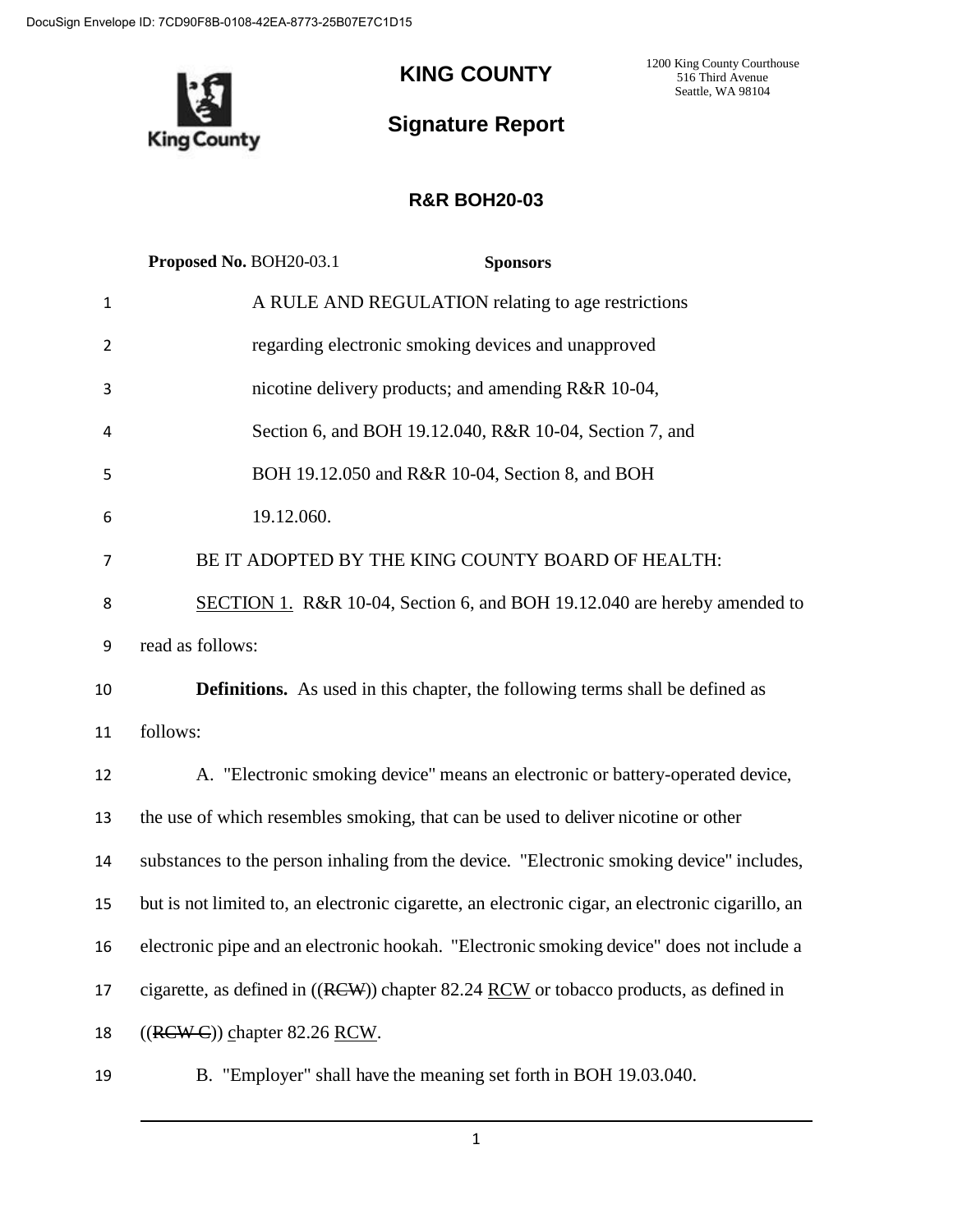

## **KING COUNTY**

1200 King County Courthouse 516 Third Avenue Seattle, WA 98104

# **Signature Report**

## **R&R BOH20-03**

|              | Proposed No. BOH20-03.1<br><b>Sponsors</b>                                                       |
|--------------|--------------------------------------------------------------------------------------------------|
| $\mathbf{1}$ | A RULE AND REGULATION relating to age restrictions                                               |
| 2            | regarding electronic smoking devices and unapproved                                              |
| 3            | nicotine delivery products; and amending R&R 10-04,                                              |
| 4            | Section 6, and BOH 19.12.040, R&R 10-04, Section 7, and                                          |
| 5            | BOH 19.12.050 and R&R 10-04, Section 8, and BOH                                                  |
| 6            | 19.12.060.                                                                                       |
| 7            | BE IT ADOPTED BY THE KING COUNTY BOARD OF HEALTH:                                                |
| 8            | SECTION 1. R&R 10-04, Section 6, and BOH 19.12.040 are hereby amended to                         |
| 9            | read as follows:                                                                                 |
| 10           | <b>Definitions.</b> As used in this chapter, the following terms shall be defined as             |
| 11           | follows:                                                                                         |
| 12           | A. "Electronic smoking device" means an electronic or battery-operated device,                   |
| 13           | the use of which resembles smoking, that can be used to deliver nicotine or other                |
| 14           | substances to the person inhaling from the device. "Electronic smoking device" includes,         |
| 15           | but is not limited to, an electronic cigarette, an electronic cigar, an electronic cigarillo, an |
| 16           | electronic pipe and an electronic hookah. "Electronic smoking device" does not include a         |
| 17           | cigarette, as defined in ((RCW)) chapter 82.24 RCW or tobacco products, as defined in            |
| 18           | $((RCWC))$ chapter 82.26 RCW.                                                                    |
| 19           | B. "Employer" shall have the meaning set forth in BOH 19.03.040.                                 |

1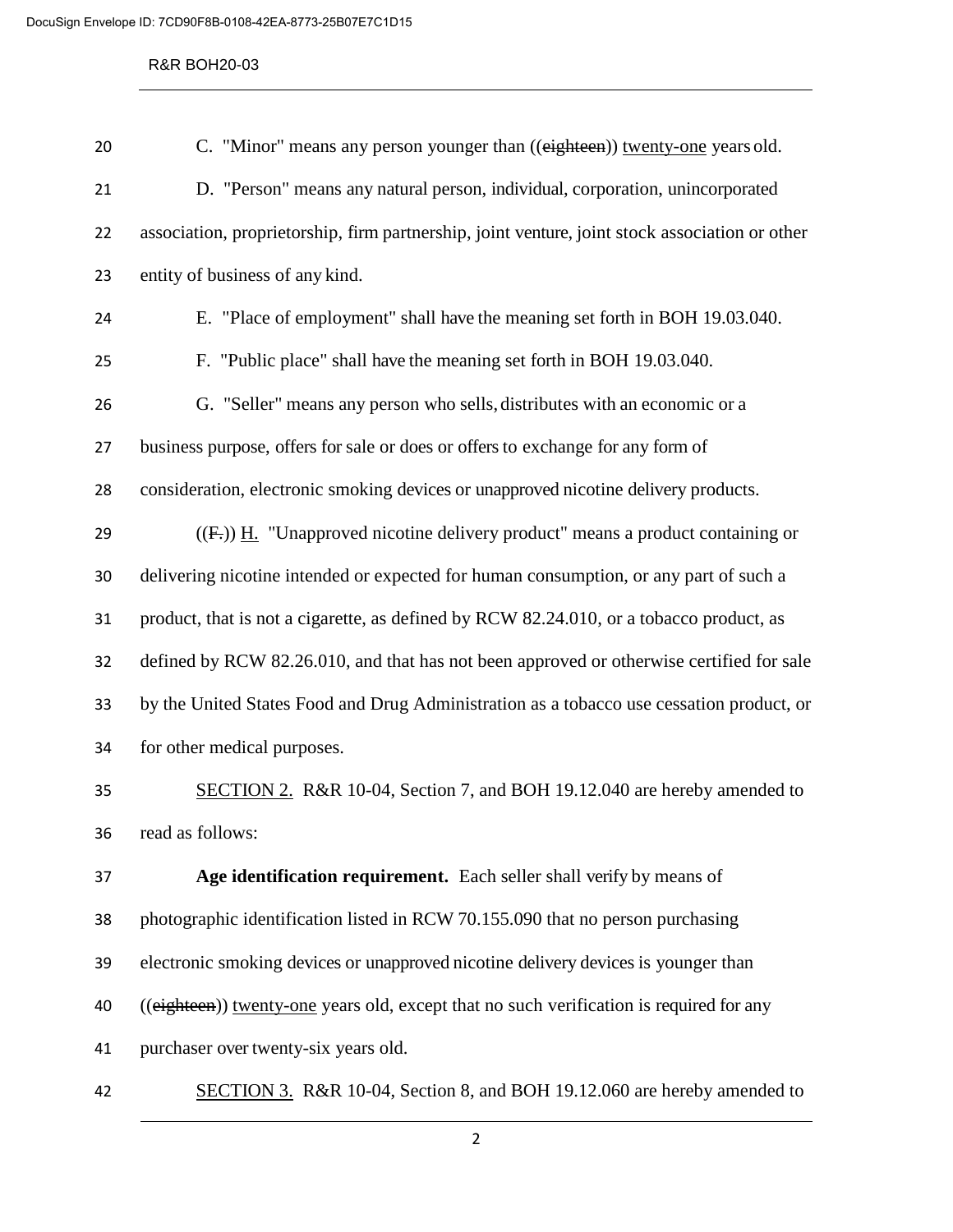### R&R BOH20-03

| 20 | C. "Minor" means any person younger than ((eighteen)) twenty-one years old.                    |
|----|------------------------------------------------------------------------------------------------|
| 21 | D. "Person" means any natural person, individual, corporation, unincorporated                  |
| 22 | association, proprietorship, firm partnership, joint venture, joint stock association or other |
| 23 | entity of business of any kind.                                                                |
| 24 | E. "Place of employment" shall have the meaning set forth in BOH 19.03.040.                    |
| 25 | F. "Public place" shall have the meaning set forth in BOH 19.03.040.                           |
| 26 | G. "Seller" means any person who sells, distributes with an economic or a                      |
| 27 | business purpose, offers for sale or does or offers to exchange for any form of                |
| 28 | consideration, electronic smoking devices or unapproved nicotine delivery products.            |
| 29 | $((F))$ H. "Unapproved nicotine delivery product" means a product containing or                |
| 30 | delivering nicotine intended or expected for human consumption, or any part of such a          |
| 31 | product, that is not a cigarette, as defined by RCW 82.24.010, or a tobacco product, as        |
| 32 | defined by RCW 82.26.010, and that has not been approved or otherwise certified for sale       |
| 33 | by the United States Food and Drug Administration as a tobacco use cessation product, or       |
| 34 | for other medical purposes.                                                                    |
| 35 | SECTION 2. R&R 10-04, Section 7, and BOH 19.12.040 are hereby amended to                       |
| 36 | read as follows:                                                                               |
| 37 | Age identification requirement. Each seller shall verify by means of                           |
| 38 | photographic identification listed in RCW 70.155.090 that no person purchasing                 |
| 39 | electronic smoking devices or unapproved nicotine delivery devices is younger than             |
| 40 | ((eighteen)) twenty-one years old, except that no such verification is required for any        |
| 41 | purchaser over twenty-six years old.                                                           |
| 42 | SECTION 3. R&R 10-04, Section 8, and BOH 19.12.060 are hereby amended to                       |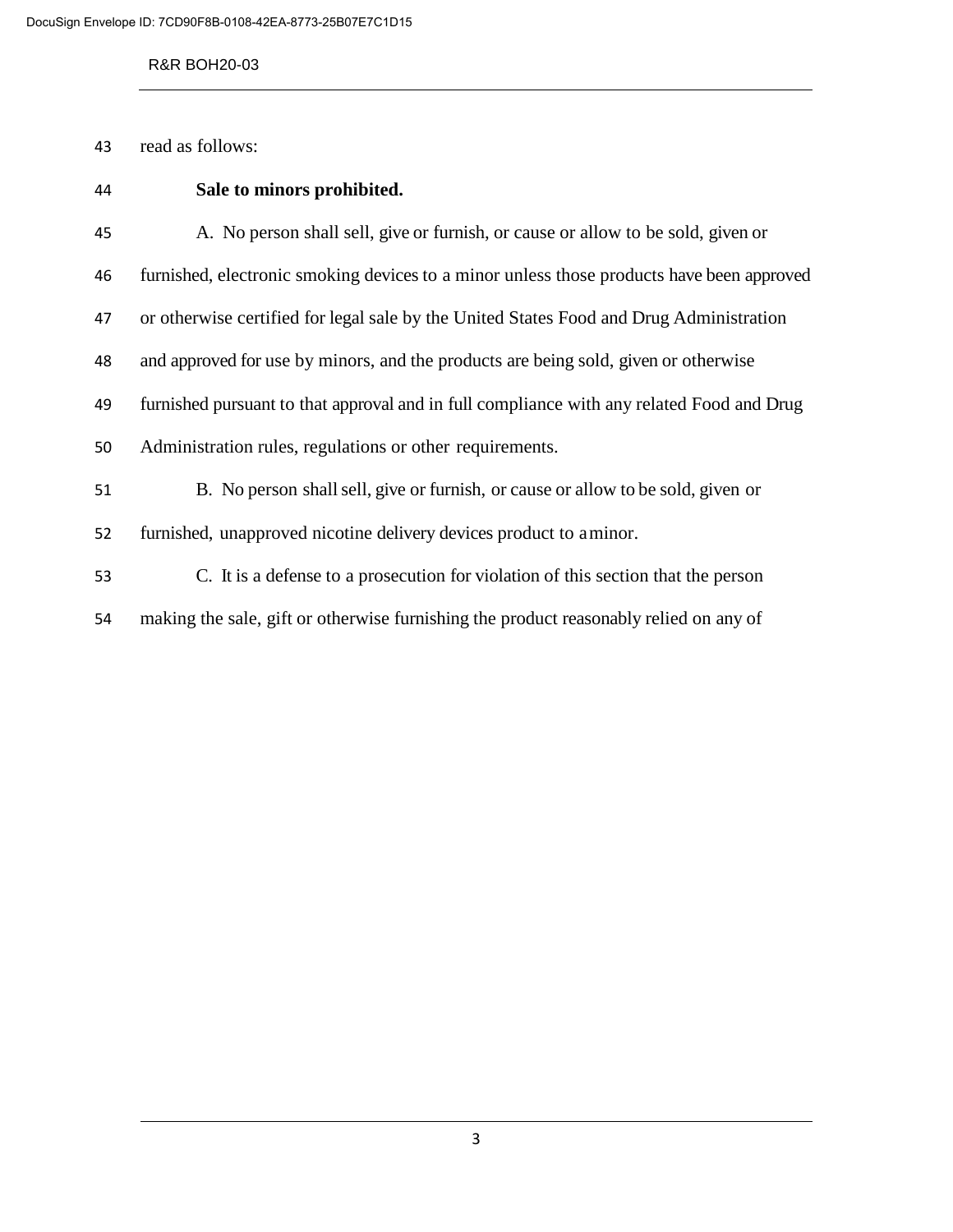#### R&R BOH20-03

read as follows:

| 44 | Sale to minors prohibited.                                                                |
|----|-------------------------------------------------------------------------------------------|
| 45 | A. No person shall sell, give or furnish, or cause or allow to be sold, given or          |
| 46 | furnished, electronic smoking devices to a minor unless those products have been approved |
| 47 | or otherwise certified for legal sale by the United States Food and Drug Administration   |
| 48 | and approved for use by minors, and the products are being sold, given or otherwise       |
| 49 | furnished pursuant to that approval and in full compliance with any related Food and Drug |
| 50 | Administration rules, regulations or other requirements.                                  |
| 51 | B. No person shall sell, give or furnish, or cause or allow to be sold, given or          |
| 52 | furnished, unapproved nicotine delivery devices product to aminor.                        |
| 53 | C. It is a defense to a prosecution for violation of this section that the person         |
| 54 | making the sale, gift or otherwise furnishing the product reasonably relied on any of     |